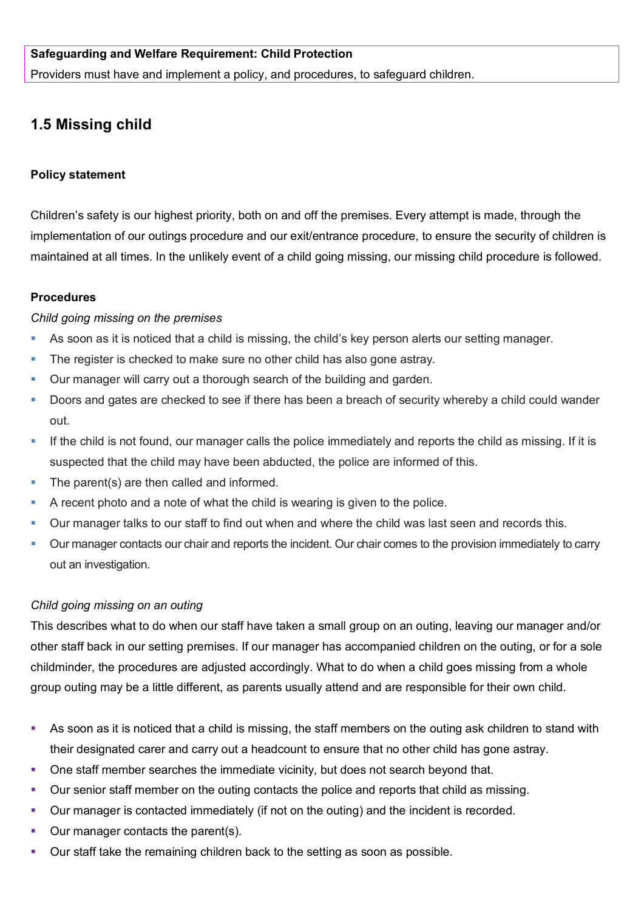## **Safeguarding and Welfare Requirement: Child Protection**

Providers must have and implement a policy, and procedures, to safeguard children.

# **1.5 Missing child**

## **Policy statement**

Children's safety is our highest priority, both on and off the premises. Every attempt is made, through the implementation of our outings procedure and our exit/entrance procedure, to ensure the security of children is maintained at all times. In the unlikely event of a child going missing, our missing child procedure is followed.

## **Procedures**

#### *Child going missing on the premises*

- As soon as it is noticed that a child is missing, the child's key person alerts our setting manager.
- The register is checked to make sure no other child has also gone astray.
- Our manager will carry out a thorough search of the building and garden.
- Doors and gates are checked to see if there has been a breach of security whereby a child could wander out.
- If the child is not found, our manager calls the police immediately and reports the child as missing. If it is suspected that the child may have been abducted, the police are informed of this.
- The parent(s) are then called and informed.
- A recent photo and a note of what the child is wearing is given to the police.
- Our manager talks to our staff to find out when and where the child was last seen and records this.
- Our manager contacts our chair and reports the incident. Our chair comes to the provision immediately to carry out an investigation.

## *Child going missing on an outing*

This describes what to do when our staff have taken a small group on an outing, leaving our manager and/or other staff back in our setting premises. If our manager has accompanied children on the outing, or for a sole childminder, the procedures are adjusted accordingly. What to do when a child goes missing from a whole group outing may be a little different, as parents usually attend and are responsible for their own child.

- As soon as it is noticed that a child is missing, the staff members on the outing ask children to stand with their designated carer and carry out a headcount to ensure that no other child has gone astray.
- One staff member searches the immediate vicinity, but does not search beyond that.
- Our senior staff member on the outing contacts the police and reports that child as missing.
- Our manager is contacted immediately (if not on the outing) and the incident is recorded.
- **Our manager contacts the parent(s).**
- Our staff take the remaining children back to the setting as soon as possible.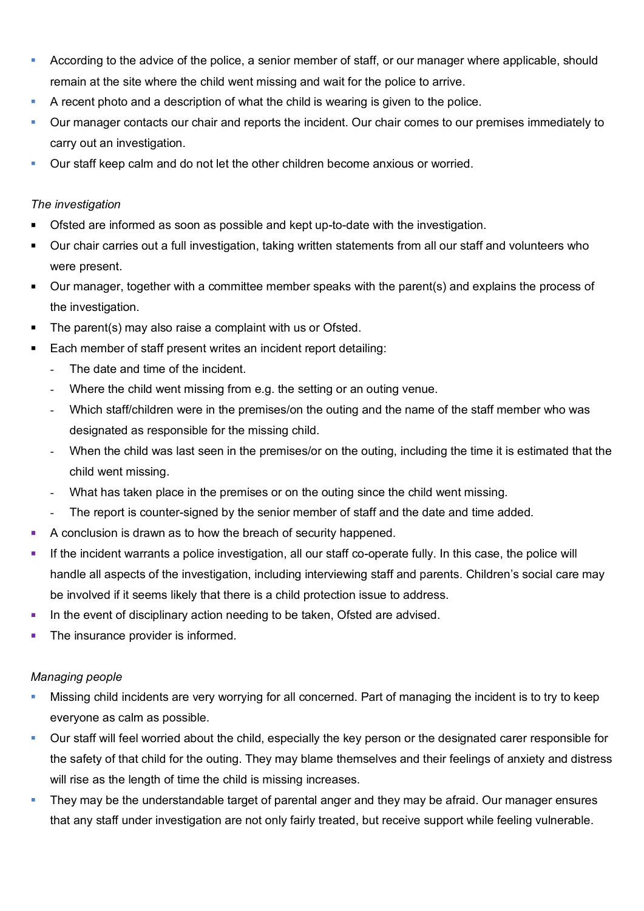- **According to the advice of the police, a senior member of staff, or our manager where applicable, should** remain at the site where the child went missing and wait for the police to arrive.
- A recent photo and a description of what the child is wearing is given to the police.
- Our manager contacts our chair and reports the incident. Our chair comes to our premises immediately to carry out an investigation.
- Our staff keep calm and do not let the other children become anxious or worried.

# *The investigation*

- Ofsted are informed as soon as possible and kept up-to-date with the investigation.
- Our chair carries out a full investigation, taking written statements from all our staff and volunteers who were present.
- Our manager, together with a committee member speaks with the parent(s) and explains the process of the investigation.
- The parent(s) may also raise a complaint with us or Ofsted.
- Each member of staff present writes an incident report detailing:
	- The date and time of the incident.
	- Where the child went missing from e.g. the setting or an outing venue.
	- Which staff/children were in the premises/on the outing and the name of the staff member who was designated as responsible for the missing child.
	- When the child was last seen in the premises/or on the outing, including the time it is estimated that the child went missing.
	- What has taken place in the premises or on the outing since the child went missing.
	- The report is counter-signed by the senior member of staff and the date and time added.
- A conclusion is drawn as to how the breach of security happened.
- If the incident warrants a police investigation, all our staff co-operate fully. In this case, the police will handle all aspects of the investigation, including interviewing staff and parents. Children's social care may be involved if it seems likely that there is a child protection issue to address.
- In the event of disciplinary action needing to be taken, Ofsted are advised.
- The insurance provider is informed.

# *Managing people*

- Missing child incidents are very worrying for all concerned. Part of managing the incident is to try to keep everyone as calm as possible.
- Our staff will feel worried about the child, especially the key person or the designated carer responsible for the safety of that child for the outing. They may blame themselves and their feelings of anxiety and distress will rise as the length of time the child is missing increases.
- They may be the understandable target of parental anger and they may be afraid. Our manager ensures that any staff under investigation are not only fairly treated, but receive support while feeling vulnerable.